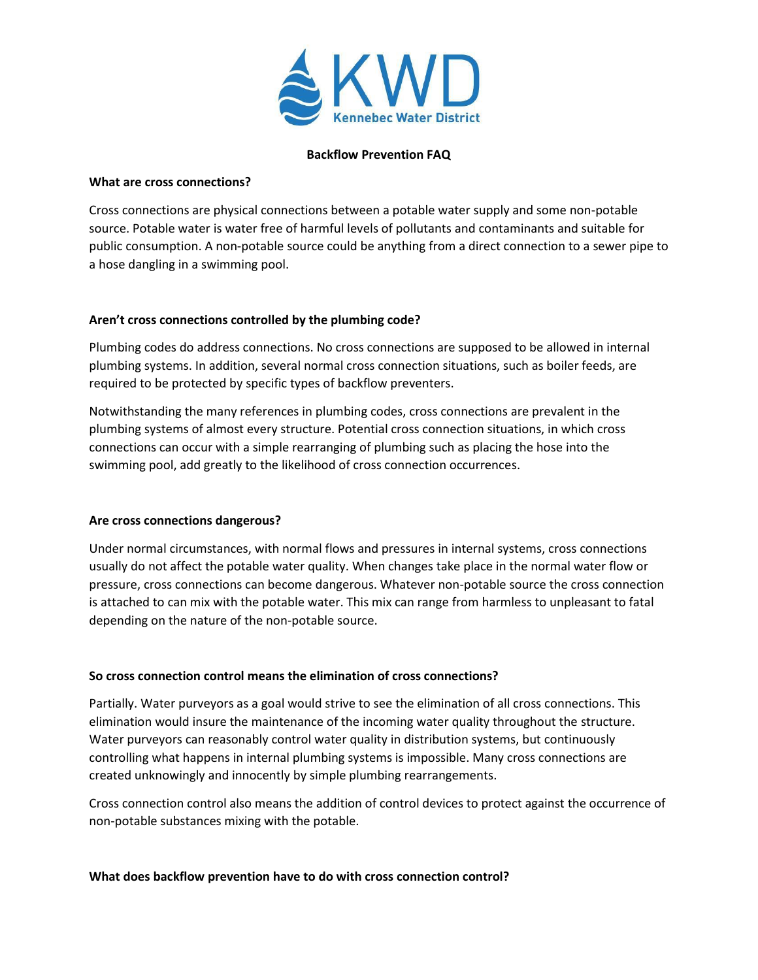

#### **Backflow Prevention FAQ**

#### **What are cross connections?**

Cross connections are physical connections between a potable water supply and some non-potable source. Potable water is water free of harmful levels of pollutants and contaminants and suitable for public consumption. A non-potable source could be anything from a direct connection to a sewer pipe to a hose dangling in a swimming pool.

# **Aren't cross connections controlled by the plumbing code?**

Plumbing codes do address connections. No cross connections are supposed to be allowed in internal plumbing systems. In addition, several normal cross connection situations, such as boiler feeds, are required to be protected by specific types of backflow preventers.

Notwithstanding the many references in plumbing codes, cross connections are prevalent in the plumbing systems of almost every structure. Potential cross connection situations, in which cross connections can occur with a simple rearranging of plumbing such as placing the hose into the swimming pool, add greatly to the likelihood of cross connection occurrences.

#### **Are cross connections dangerous?**

Under normal circumstances, with normal flows and pressures in internal systems, cross connections usually do not affect the potable water quality. When changes take place in the normal water flow or pressure, cross connections can become dangerous. Whatever non-potable source the cross connection is attached to can mix with the potable water. This mix can range from harmless to unpleasant to fatal depending on the nature of the non-potable source.

#### **So cross connection control means the elimination of cross connections?**

Partially. Water purveyors as a goal would strive to see the elimination of all cross connections. This elimination would insure the maintenance of the incoming water quality throughout the structure. Water purveyors can reasonably control water quality in distribution systems, but continuously controlling what happens in internal plumbing systems is impossible. Many cross connections are created unknowingly and innocently by simple plumbing rearrangements.

Cross connection control also means the addition of control devices to protect against the occurrence of non-potable substances mixing with the potable.

#### **What does backflow prevention have to do with cross connection control?**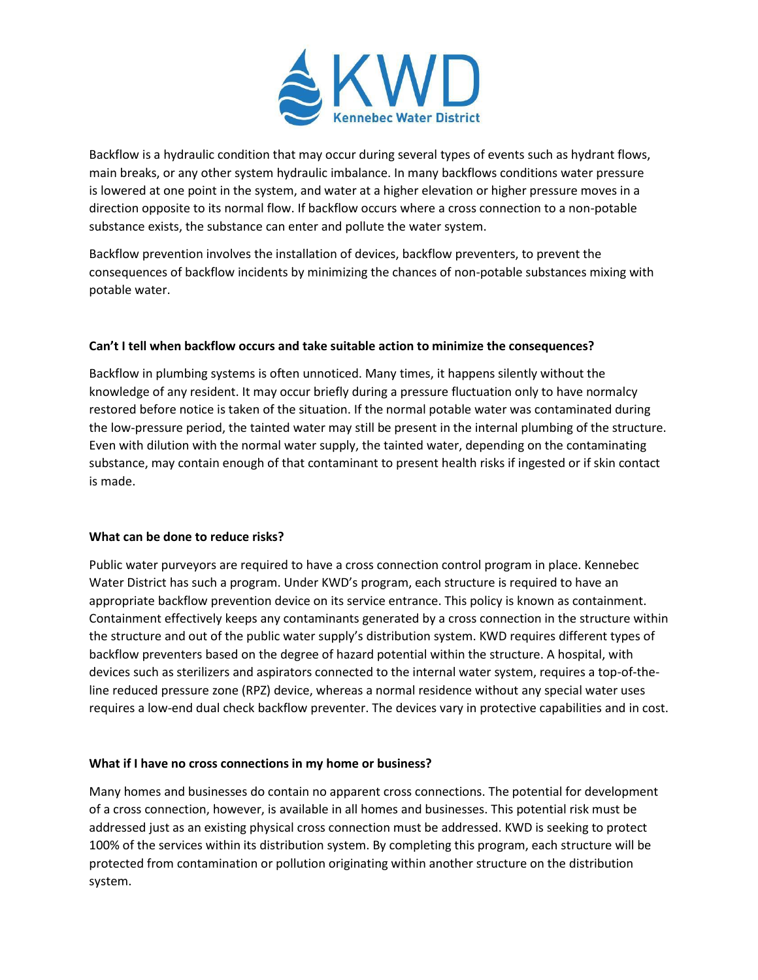

Backflow is a hydraulic condition that may occur during several types of events such as hydrant flows, main breaks, or any other system hydraulic imbalance. In many backflows conditions water pressure is lowered at one point in the system, and water at a higher elevation or higher pressure moves in a direction opposite to its normal flow. If backflow occurs where a cross connection to a non-potable substance exists, the substance can enter and pollute the water system.

Backflow prevention involves the installation of devices, backflow preventers, to prevent the consequences of backflow incidents by minimizing the chances of non-potable substances mixing with potable water.

# **Can't I tell when backflow occurs and take suitable action to minimize the consequences?**

Backflow in plumbing systems is often unnoticed. Many times, it happens silently without the knowledge of any resident. It may occur briefly during a pressure fluctuation only to have normalcy restored before notice is taken of the situation. If the normal potable water was contaminated during the low-pressure period, the tainted water may still be present in the internal plumbing of the structure. Even with dilution with the normal water supply, the tainted water, depending on the contaminating substance, may contain enough of that contaminant to present health risks if ingested or if skin contact is made.

# **What can be done to reduce risks?**

Public water purveyors are required to have a cross connection control program in place. Kennebec Water District has such a program. Under KWD's program, each structure is required to have an appropriate backflow prevention device on its service entrance. This policy is known as containment. Containment effectively keeps any contaminants generated by a cross connection in the structure within the structure and out of the public water supply's distribution system. KWD requires different types of backflow preventers based on the degree of hazard potential within the structure. A hospital, with devices such as sterilizers and aspirators connected to the internal water system, requires a top-of-theline reduced pressure zone (RPZ) device, whereas a normal residence without any special water uses requires a low-end dual check backflow preventer. The devices vary in protective capabilities and in cost.

# **What if I have no cross connections in my home or business?**

Many homes and businesses do contain no apparent cross connections. The potential for development of a cross connection, however, is available in all homes and businesses. This potential risk must be addressed just as an existing physical cross connection must be addressed. KWD is seeking to protect 100% of the services within its distribution system. By completing this program, each structure will be protected from contamination or pollution originating within another structure on the distribution system.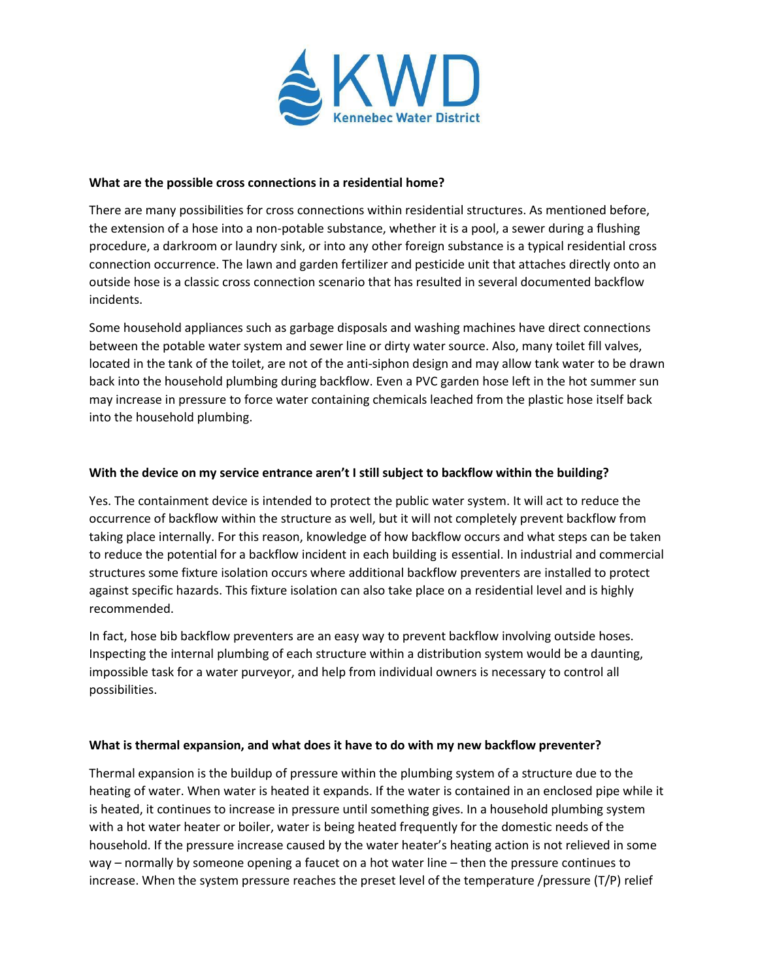

#### **What are the possible cross connections in a residential home?**

There are many possibilities for cross connections within residential structures. As mentioned before, the extension of a hose into a non-potable substance, whether it is a pool, a sewer during a flushing procedure, a darkroom or laundry sink, or into any other foreign substance is a typical residential cross connection occurrence. The lawn and garden fertilizer and pesticide unit that attaches directly onto an outside hose is a classic cross connection scenario that has resulted in several documented backflow incidents.

Some household appliances such as garbage disposals and washing machines have direct connections between the potable water system and sewer line or dirty water source. Also, many toilet fill valves, located in the tank of the toilet, are not of the anti-siphon design and may allow tank water to be drawn back into the household plumbing during backflow. Even a PVC garden hose left in the hot summer sun may increase in pressure to force water containing chemicals leached from the plastic hose itself back into the household plumbing.

# **With the device on my service entrance aren't I still subject to backflow within the building?**

Yes. The containment device is intended to protect the public water system. It will act to reduce the occurrence of backflow within the structure as well, but it will not completely prevent backflow from taking place internally. For this reason, knowledge of how backflow occurs and what steps can be taken to reduce the potential for a backflow incident in each building is essential. In industrial and commercial structures some fixture isolation occurs where additional backflow preventers are installed to protect against specific hazards. This fixture isolation can also take place on a residential level and is highly recommended.

In fact, hose bib backflow preventers are an easy way to prevent backflow involving outside hoses. Inspecting the internal plumbing of each structure within a distribution system would be a daunting, impossible task for a water purveyor, and help from individual owners is necessary to control all possibilities.

# **What is thermal expansion, and what does it have to do with my new backflow preventer?**

Thermal expansion is the buildup of pressure within the plumbing system of a structure due to the heating of water. When water is heated it expands. If the water is contained in an enclosed pipe while it is heated, it continues to increase in pressure until something gives. In a household plumbing system with a hot water heater or boiler, water is being heated frequently for the domestic needs of the household. If the pressure increase caused by the water heater's heating action is not relieved in some way – normally by someone opening a faucet on a hot water line – then the pressure continues to increase. When the system pressure reaches the preset level of the temperature /pressure (T/P) relief